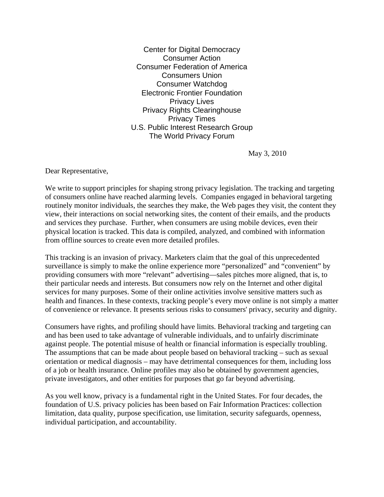Center for Digital Democracy Consumer Action Consumer Federation of America Consumers Union Consumer Watchdog Electronic Frontier Foundation Privacy Lives Privacy Rights Clearinghouse Privacy Times U.S. Public Interest Research Group The World Privacy Forum

May 3, 2010

Dear Representative,

We write to support principles for shaping strong privacy legislation. The tracking and targeting of consumers online have reached alarming levels. Companies engaged in behavioral targeting routinely monitor individuals, the searches they make, the Web pages they visit, the content they view, their interactions on social networking sites, the content of their emails, and the products and services they purchase. Further, when consumers are using mobile devices, even their physical location is tracked. This data is compiled, analyzed, and combined with information from offline sources to create even more detailed profiles.

This tracking is an invasion of privacy. Marketers claim that the goal of this unprecedented surveillance is simply to make the online experience more "personalized" and "convenient" by providing consumers with more "relevant" advertising—sales pitches more aligned, that is, to their particular needs and interests. But consumers now rely on the Internet and other digital services for many purposes. Some of their online activities involve sensitive matters such as health and finances. In these contexts, tracking people's every move online is not simply a matter of convenience or relevance. It presents serious risks to consumers' privacy, security and dignity.

Consumers have rights, and profiling should have limits. Behavioral tracking and targeting can and has been used to take advantage of vulnerable individuals, and to unfairly discriminate against people. The potential misuse of health or financial information is especially troubling. The assumptions that can be made about people based on behavioral tracking – such as sexual orientation or medical diagnosis – may have detrimental consequences for them, including loss of a job or health insurance. Online profiles may also be obtained by government agencies, private investigators, and other entities for purposes that go far beyond advertising.

As you well know, privacy is a fundamental right in the United States. For four decades, the foundation of U.S. privacy policies has been based on Fair Information Practices: collection limitation, data quality, purpose specification, use limitation, security safeguards, openness, individual participation, and accountability.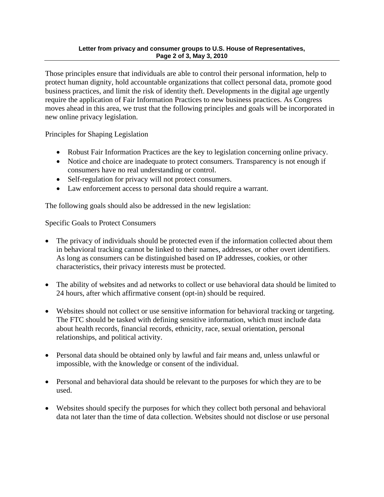## **Letter from privacy and consumer groups to U.S. House of Representatives, Page 2 of 3, May 3, 2010**

Those principles ensure that individuals are able to control their personal information, help to protect human dignity, hold accountable organizations that collect personal data, promote good business practices, and limit the risk of identity theft. Developments in the digital age urgently require the application of Fair Information Practices to new business practices. As Congress moves ahead in this area, we trust that the following principles and goals will be incorporated in new online privacy legislation.

Principles for Shaping Legislation

- Robust Fair Information Practices are the key to legislation concerning online privacy.
- Notice and choice are inadequate to protect consumers. Transparency is not enough if consumers have no real understanding or control.
- Self-regulation for privacy will not protect consumers.
- Law enforcement access to personal data should require a warrant.

The following goals should also be addressed in the new legislation:

Specific Goals to Protect Consumers

- The privacy of individuals should be protected even if the information collected about them in behavioral tracking cannot be linked to their names, addresses, or other overt identifiers. As long as consumers can be distinguished based on IP addresses, cookies, or other characteristics, their privacy interests must be protected.
- The ability of websites and ad networks to collect or use behavioral data should be limited to 24 hours, after which affirmative consent (opt-in) should be required.
- Websites should not collect or use sensitive information for behavioral tracking or targeting. The FTC should be tasked with defining sensitive information, which must include data about health records, financial records, ethnicity, race, sexual orientation, personal relationships, and political activity.
- Personal data should be obtained only by lawful and fair means and, unless unlawful or impossible, with the knowledge or consent of the individual.
- Personal and behavioral data should be relevant to the purposes for which they are to be used.
- Websites should specify the purposes for which they collect both personal and behavioral data not later than the time of data collection. Websites should not disclose or use personal